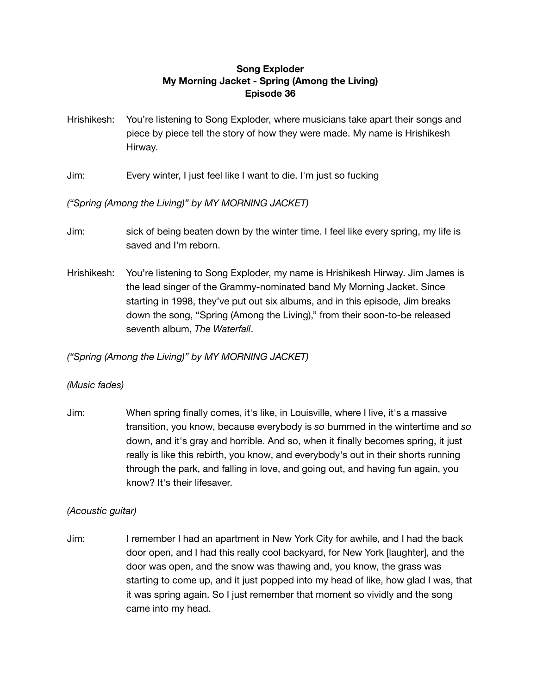## **Song Exploder My Morning Jacket - Spring (Among the Living) Episode 36**

- Hrishikesh: You're listening to Song Exploder, where musicians take apart their songs and piece by piece tell the story of how they were made. My name is Hrishikesh Hirway.
- Jim: Every winter, I just feel like I want to die. I'm just so fucking

*("Spring (Among the Living)" by MY MORNING JACKET)*

- Jim: sick of being beaten down by the winter time. I feel like every spring, my life is saved and I'm reborn.
- Hrishikesh: You're listening to Song Exploder, my name is Hrishikesh Hirway. Jim James is the lead singer of the Grammy-nominated band My Morning Jacket. Since starting in 1998, they've put out six albums, and in this episode, Jim breaks down the song, "Spring (Among the Living)," from their soon-to-be released seventh album, *The Waterfall*.

*("Spring (Among the Living)" by MY MORNING JACKET)*

## *(Music fades)*

Jim: When spring finally comes, it's like, in Louisville, where I live, it's a massive transition, you know, because everybody is *so* bummed in the wintertime and *so* down, and it's gray and horrible. And so, when it finally becomes spring, it just really is like this rebirth, you know, and everybody's out in their shorts running through the park, and falling in love, and going out, and having fun again, you know? It's their lifesaver.

## *(Acoustic guitar)*

Jim: I remember I had an apartment in New York City for awhile, and I had the back door open, and I had this really cool backyard, for New York [laughter], and the door was open, and the snow was thawing and, you know, the grass was starting to come up, and it just popped into my head of like, how glad I was, that it was spring again. So I just remember that moment so vividly and the song came into my head.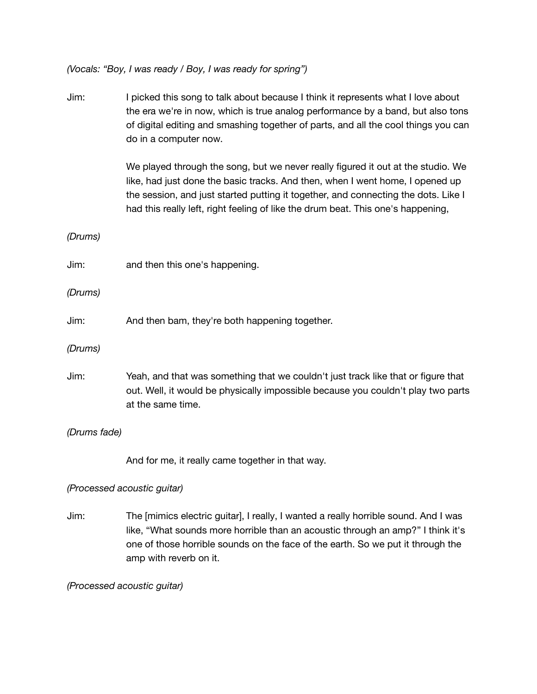*(Vocals: "Boy, I was ready / Boy, I was ready for spring")*

- Jim: I picked this song to talk about because I think it represents what I love about the era we're in now, which is true analog performance by a band, but also tons of digital editing and smashing together of parts, and all the cool things you can do in a computer now. We played through the song, but we never really figured it out at the studio. We like, had just done the basic tracks. And then, when I went home, I opened up the session, and just started putting it together, and connecting the dots. Like I had this really left, right feeling of like the drum beat. This one's happening, *(Drums)* Jim: and then this one's happening. *(Drums)* Jim: And then bam, they're both happening together. *(Drums)* Jim: Yeah, and that was something that we couldn't just track like that or figure that out. Well, it would be physically impossible because you couldn't play two parts at the same time. *(Drums fade)* And for me, it really came together in that way. *(Processed acoustic guitar)* Jim: The [mimics electric guitar], I really, I wanted a really horrible sound. And I was
	- like, "What sounds more horrible than an acoustic through an amp?" I think it's one of those horrible sounds on the face of the earth. So we put it through the amp with reverb on it.

*(Processed acoustic guitar)*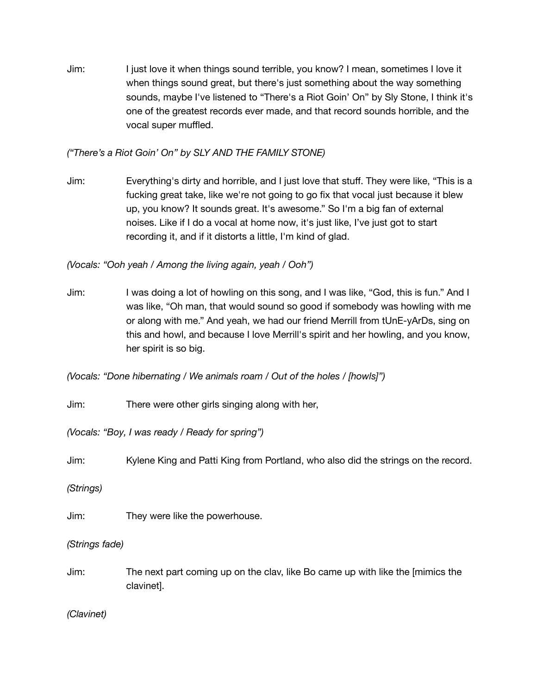Jim: I just love it when things sound terrible, you know? I mean, sometimes I love it when things sound great, but there's just something about the way something sounds, maybe I've listened to "There's a Riot Goin' On" by Sly Stone, I think it's one of the greatest records ever made, and that record sounds horrible, and the vocal super muffled.

*("There's a Riot Goin' On" by SLY AND THE FAMILY STONE)*

Jim: Everything's dirty and horrible, and I just love that stuff. They were like, "This is a fucking great take, like we're not going to go fix that vocal just because it blew up, you know? It sounds great. It's awesome." So I'm a big fan of external noises. Like if I do a vocal at home now, it's just like, I've just got to start recording it, and if it distorts a little, I'm kind of glad.

*(Vocals: "Ooh yeah / Among the living again, yeah / Ooh")*

Jim: I was doing a lot of howling on this song, and I was like, "God, this is fun." And I was like, "Oh man, that would sound so good if somebody was howling with me or along with me." And yeah, we had our friend Merrill from tUnE-yArDs, sing on this and howl, and because I love Merrill's spirit and her howling, and you know, her spirit is so big.

*(Vocals: "Done hibernating / We animals roam / Out of the holes / [howls]")*

Jim: There were other girls singing along with her,

*(Vocals: "Boy, I was ready / Ready for spring")*

Jim: Kylene King and Patti King from Portland, who also did the strings on the record.

*(Strings)*

Jim: They were like the powerhouse.

*(Strings fade)*

Jim: The next part coming up on the clav, like Bo came up with like the [mimics the clavinet].

*(Clavinet)*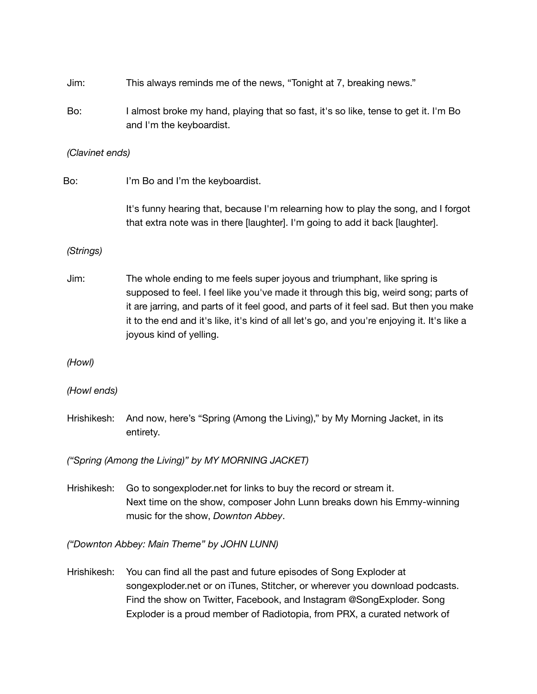- Jim: This always reminds me of the news, "Tonight at 7, breaking news."
- Bo: I almost broke my hand, playing that so fast, it's so like, tense to get it. I'm Bo and I'm the keyboardist.
- *(Clavinet ends)*
- Bo: I'm Bo and I'm the keyboardist.

It's funny hearing that, because I'm relearning how to play the song, and I forgot that extra note was in there [laughter]. I'm going to add it back [laughter].

## *(Strings)*

Jim: The whole ending to me feels super joyous and triumphant, like spring is supposed to feel. I feel like you've made it through this big, weird song; parts of it are jarring, and parts of it feel good, and parts of it feel sad. But then you make it to the end and it's like, it's kind of all let's go, and you're enjoying it. It's like a joyous kind of yelling.

*(Howl)*

*(Howl ends)*

Hrishikesh: And now, here's "Spring (Among the Living)," by My Morning Jacket, in its entirety.

*("Spring (Among the Living)" by MY MORNING JACKET)*

Hrishikesh: Go to songexploder.net for links to buy the record or stream it. Next time on the show, composer John Lunn breaks down his Emmy-winning music for the show, *Downton Abbey*.

*("Downton Abbey: Main Theme" by JOHN LUNN)*

Hrishikesh: You can find all the past and future episodes of Song Exploder at songexploder.net or on iTunes, Stitcher, or wherever you download podcasts. Find the show on Twitter, Facebook, and Instagram @SongExploder. Song Exploder is a proud member of Radiotopia, from PRX, a curated network of